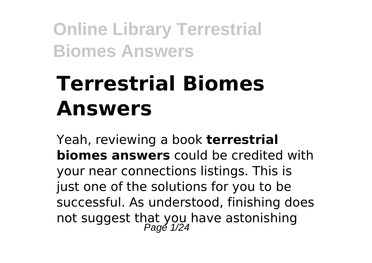# **Terrestrial Biomes Answers**

Yeah, reviewing a book **terrestrial biomes answers** could be credited with your near connections listings. This is just one of the solutions for you to be successful. As understood, finishing does not suggest that you have astonishing<br>Page 1/24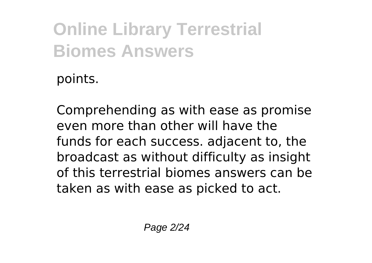points.

Comprehending as with ease as promise even more than other will have the funds for each success. adjacent to, the broadcast as without difficulty as insight of this terrestrial biomes answers can be taken as with ease as picked to act.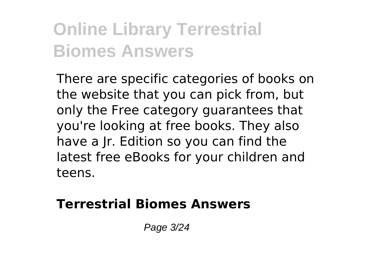There are specific categories of books on the website that you can pick from, but only the Free category guarantees that you're looking at free books. They also have a Jr. Edition so you can find the latest free eBooks for your children and teens.

#### **Terrestrial Biomes Answers**

Page 3/24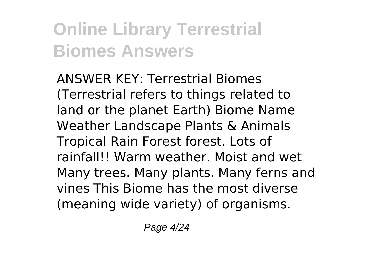ANSWER KEY: Terrestrial Biomes (Terrestrial refers to things related to land or the planet Earth) Biome Name Weather Landscape Plants & Animals Tropical Rain Forest forest. Lots of rainfall!! Warm weather. Moist and wet Many trees. Many plants. Many ferns and vines This Biome has the most diverse (meaning wide variety) of organisms.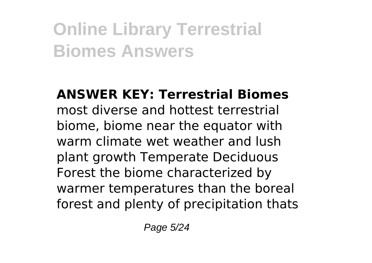**ANSWER KEY: Terrestrial Biomes** most diverse and hottest terrestrial biome, biome near the equator with warm climate wet weather and lush plant growth Temperate Deciduous Forest the biome characterized by warmer temperatures than the boreal forest and plenty of precipitation thats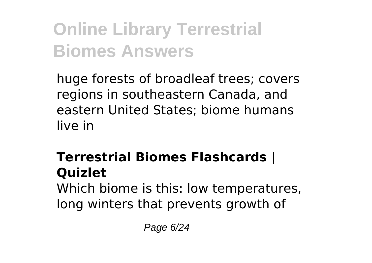huge forests of broadleaf trees; covers regions in southeastern Canada, and eastern United States; biome humans live in

### **Terrestrial Biomes Flashcards | Quizlet**

Which biome is this: low temperatures, long winters that prevents growth of

Page 6/24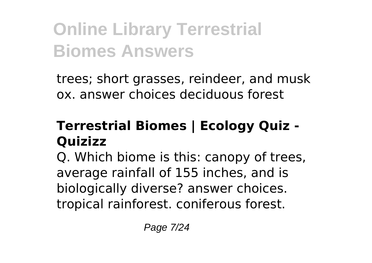trees; short grasses, reindeer, and musk ox. answer choices deciduous forest

#### **Terrestrial Biomes | Ecology Quiz - Quizizz**

Q. Which biome is this: canopy of trees, average rainfall of 155 inches, and is biologically diverse? answer choices. tropical rainforest. coniferous forest.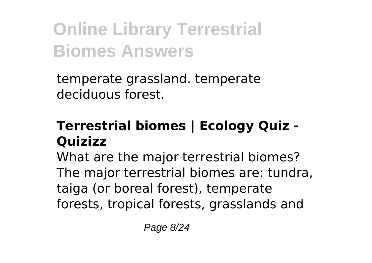temperate grassland. temperate deciduous forest.

#### **Terrestrial biomes | Ecology Quiz - Quizizz**

What are the major terrestrial biomes? The major terrestrial biomes are: tundra, taiga (or boreal forest), temperate forests, tropical forests, grasslands and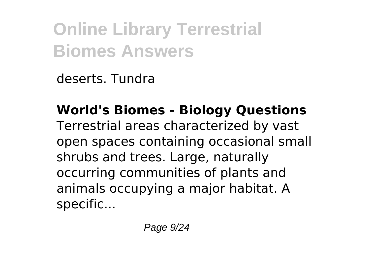deserts. Tundra

**World's Biomes - Biology Questions** Terrestrial areas characterized by vast open spaces containing occasional small shrubs and trees. Large, naturally occurring communities of plants and animals occupying a major habitat. A specific...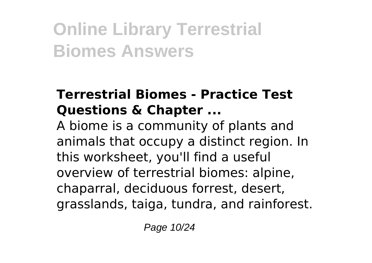#### **Terrestrial Biomes - Practice Test Questions & Chapter ...**

A biome is a community of plants and animals that occupy a distinct region. In this worksheet, you'll find a useful overview of terrestrial biomes: alpine, chaparral, deciduous forrest, desert, grasslands, taiga, tundra, and rainforest.

Page 10/24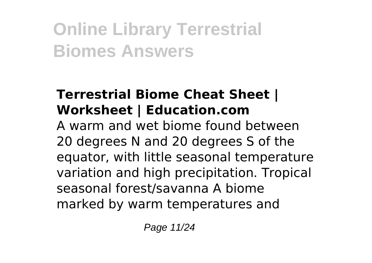#### **Terrestrial Biome Cheat Sheet | Worksheet | Education.com**

A warm and wet biome found between 20 degrees N and 20 degrees S of the equator, with little seasonal temperature variation and high precipitation. Tropical seasonal forest/savanna A biome marked by warm temperatures and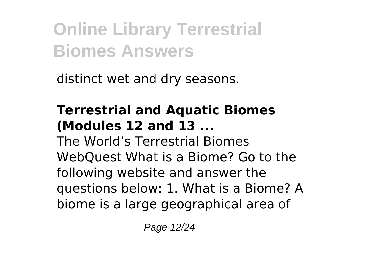distinct wet and dry seasons.

#### **Terrestrial and Aquatic Biomes (Modules 12 and 13 ...**

The World's Terrestrial Biomes WebQuest What is a Biome? Go to the following website and answer the questions below: 1. What is a Biome? A biome is a large geographical area of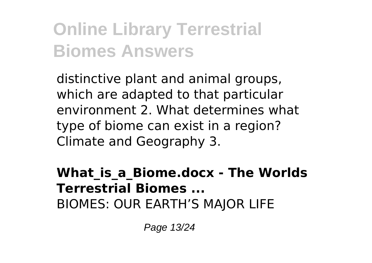distinctive plant and animal groups, which are adapted to that particular environment 2. What determines what type of biome can exist in a region? Climate and Geography 3.

#### **What\_is\_a\_Biome.docx - The Worlds Terrestrial Biomes ...** BIOMES: OUR EARTH'S MAJOR LIFE

Page 13/24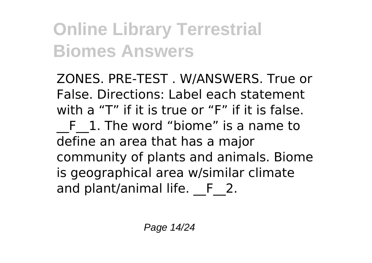ZONES. PRE-TEST . W/ANSWERS. True or False. Directions: Label each statement with a "T" if it is true or "F" if it is false. \_\_F\_\_1. The word "biome" is a name to define an area that has a major community of plants and animals. Biome is geographical area w/similar climate and plant/animal life. F 2.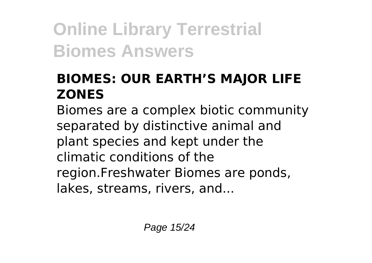#### **BIOMES: OUR EARTH'S MAJOR LIFE ZONES**

Biomes are a complex biotic community separated by distinctive animal and plant species and kept under the climatic conditions of the region.Freshwater Biomes are ponds, lakes, streams, rivers, and...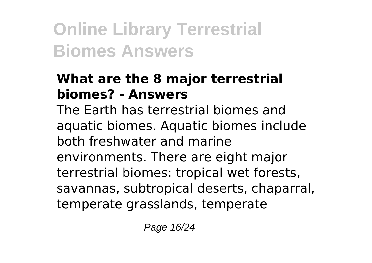#### **What are the 8 major terrestrial biomes? - Answers**

The Earth has terrestrial biomes and aquatic biomes. Aquatic biomes include both freshwater and marine environments. There are eight major terrestrial biomes: tropical wet forests, savannas, subtropical deserts, chaparral, temperate grasslands, temperate

Page 16/24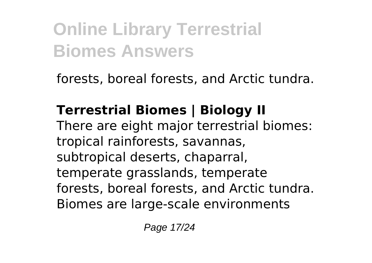forests, boreal forests, and Arctic tundra.

### **Terrestrial Biomes | Biology II**

There are eight major terrestrial biomes: tropical rainforests, savannas, subtropical deserts, chaparral, temperate grasslands, temperate forests, boreal forests, and Arctic tundra. Biomes are large-scale environments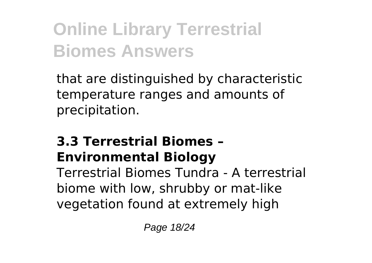that are distinguished by characteristic temperature ranges and amounts of precipitation.

#### **3.3 Terrestrial Biomes – Environmental Biology**

Terrestrial Biomes Tundra - A terrestrial biome with low, shrubby or mat-like vegetation found at extremely high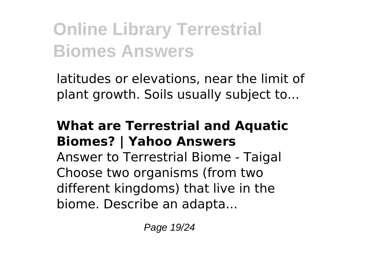latitudes or elevations, near the limit of plant growth. Soils usually subject to...

#### **What are Terrestrial and Aquatic Biomes? | Yahoo Answers**

Answer to Terrestrial Biome - Taigal Choose two organisms (from two different kingdoms) that live in the biome. Describe an adapta...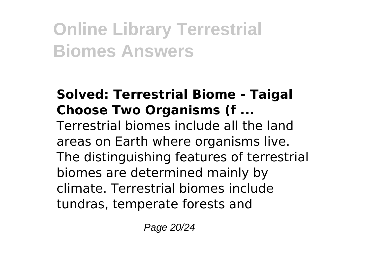#### **Solved: Terrestrial Biome - Taigal Choose Two Organisms (f ...** Terrestrial biomes include all the land areas on Earth where organisms live. The distinguishing features of terrestrial biomes are determined mainly by climate. Terrestrial biomes include tundras, temperate forests and

Page 20/24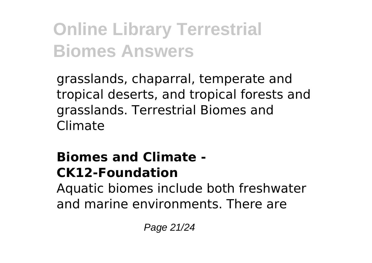grasslands, chaparral, temperate and tropical deserts, and tropical forests and grasslands. Terrestrial Biomes and Climate

#### **Biomes and Climate - CK12-Foundation**

Aquatic biomes include both freshwater and marine environments. There are

Page 21/24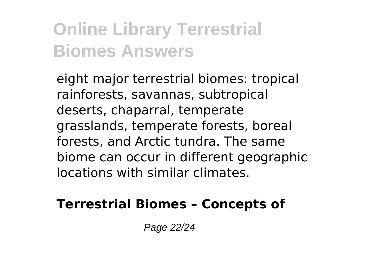eight major terrestrial biomes: tropical rainforests, savannas, subtropical deserts, chaparral, temperate grasslands, temperate forests, boreal forests, and Arctic tundra. The same biome can occur in different geographic locations with similar climates.

#### **Terrestrial Biomes – Concepts of**

Page 22/24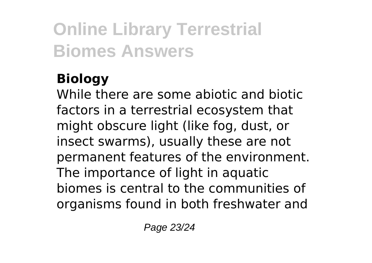### **Biology**

While there are some abiotic and biotic factors in a terrestrial ecosystem that might obscure light (like fog, dust, or insect swarms), usually these are not permanent features of the environment. The importance of light in aquatic biomes is central to the communities of organisms found in both freshwater and